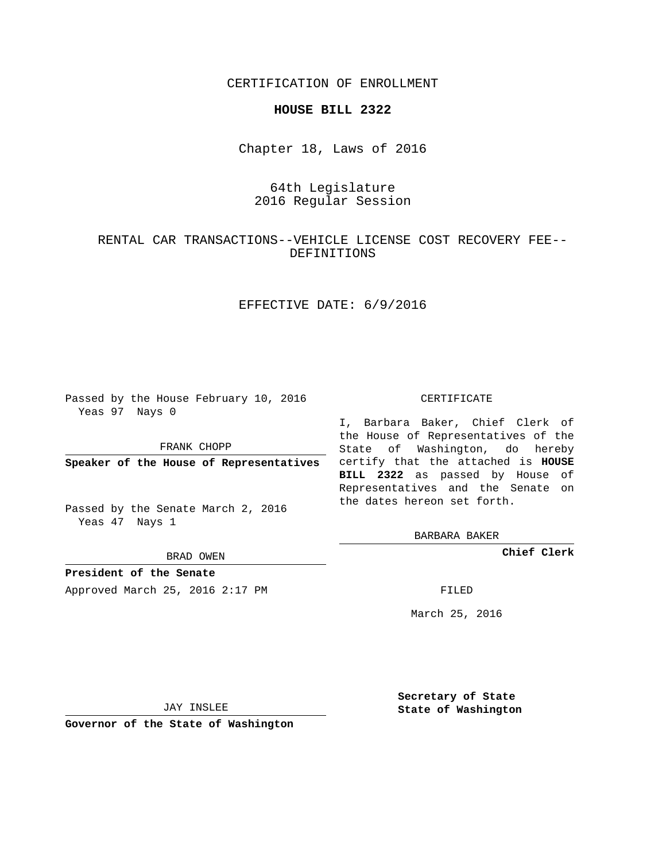CERTIFICATION OF ENROLLMENT

#### **HOUSE BILL 2322**

Chapter 18, Laws of 2016

# 64th Legislature 2016 Regular Session

## RENTAL CAR TRANSACTIONS--VEHICLE LICENSE COST RECOVERY FEE-- DEFINITIONS

### EFFECTIVE DATE: 6/9/2016

Passed by the House February 10, 2016 Yeas 97 Nays 0

FRANK CHOPP

Passed by the Senate March 2, 2016 Yeas 47 Nays 1

BRAD OWEN

**President of the Senate**

Approved March 25, 2016 2:17 PM FILED

#### CERTIFICATE

**Speaker of the House of Representatives** certify that the attached is **HOUSE** I, Barbara Baker, Chief Clerk of the House of Representatives of the State of Washington, do hereby **BILL 2322** as passed by House of Representatives and the Senate on the dates hereon set forth.

BARBARA BAKER

**Chief Clerk**

March 25, 2016

JAY INSLEE

**Governor of the State of Washington**

**Secretary of State State of Washington**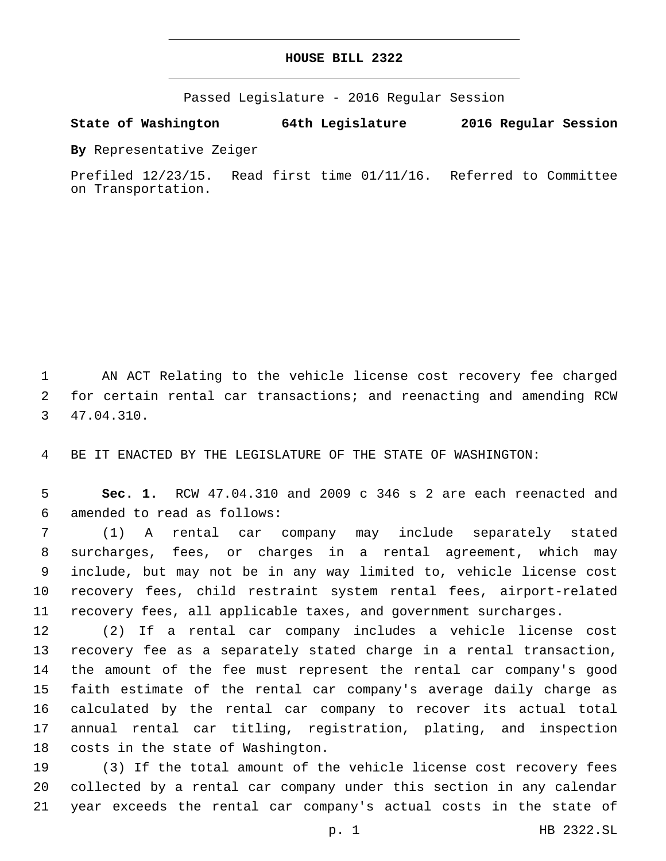#### **HOUSE BILL 2322**

Passed Legislature - 2016 Regular Session

**State of Washington 64th Legislature 2016 Regular Session**

**By** Representative Zeiger

Prefiled 12/23/15. Read first time 01/11/16. Referred to Committee on Transportation.

 AN ACT Relating to the vehicle license cost recovery fee charged for certain rental car transactions; and reenacting and amending RCW 47.04.310.3

BE IT ENACTED BY THE LEGISLATURE OF THE STATE OF WASHINGTON:

 **Sec. 1.** RCW 47.04.310 and 2009 c 346 s 2 are each reenacted and amended to read as follows:6

 (1) A rental car company may include separately stated surcharges, fees, or charges in a rental agreement, which may include, but may not be in any way limited to, vehicle license cost recovery fees, child restraint system rental fees, airport-related recovery fees, all applicable taxes, and government surcharges.

 (2) If a rental car company includes a vehicle license cost recovery fee as a separately stated charge in a rental transaction, the amount of the fee must represent the rental car company's good faith estimate of the rental car company's average daily charge as calculated by the rental car company to recover its actual total annual rental car titling, registration, plating, and inspection 18 costs in the state of Washington.

 (3) If the total amount of the vehicle license cost recovery fees collected by a rental car company under this section in any calendar year exceeds the rental car company's actual costs in the state of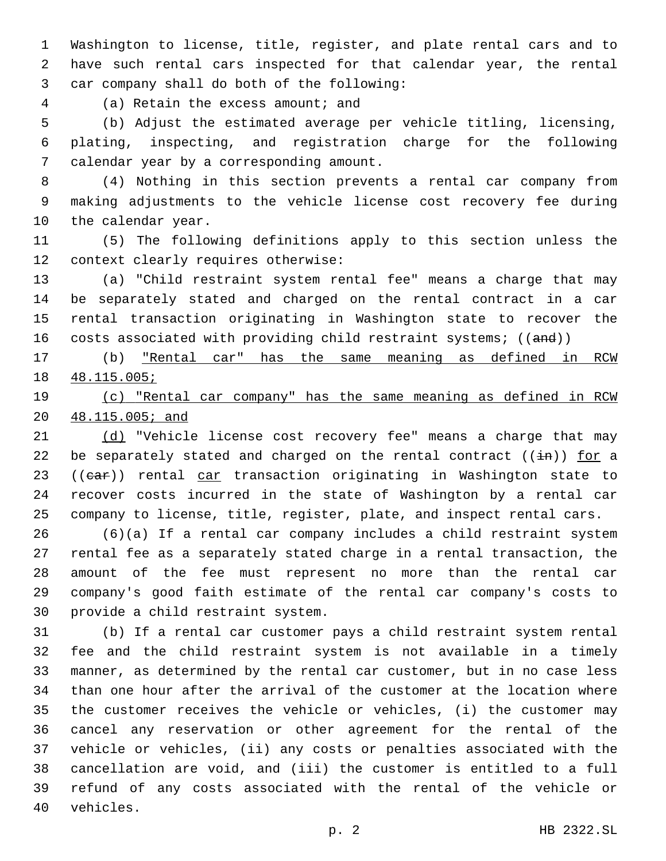Washington to license, title, register, and plate rental cars and to have such rental cars inspected for that calendar year, the rental 3 car company shall do both of the following:

4 (a) Retain the excess amount; and

 (b) Adjust the estimated average per vehicle titling, licensing, plating, inspecting, and registration charge for the following 7 calendar year by a corresponding amount.

 (4) Nothing in this section prevents a rental car company from making adjustments to the vehicle license cost recovery fee during 10 the calendar year.

 (5) The following definitions apply to this section unless the 12 context clearly requires otherwise:

 (a) "Child restraint system rental fee" means a charge that may be separately stated and charged on the rental contract in a car rental transaction originating in Washington state to recover the 16 costs associated with providing child restraint systems; ((and))

 (b) "Rental car" has the same meaning as defined in RCW 48.115.005;

 (c) "Rental car company" has the same meaning as defined in RCW 48.115.005; and

21 (d) "Vehicle license cost recovery fee" means a charge that may 22 be separately stated and charged on the rental contract  $((\frac{1}{2}m))$  for a 23 ((ear)) rental car transaction originating in Washington state to recover costs incurred in the state of Washington by a rental car company to license, title, register, plate, and inspect rental cars.

 (6)(a) If a rental car company includes a child restraint system rental fee as a separately stated charge in a rental transaction, the amount of the fee must represent no more than the rental car company's good faith estimate of the rental car company's costs to 30 provide a child restraint system.

 (b) If a rental car customer pays a child restraint system rental fee and the child restraint system is not available in a timely manner, as determined by the rental car customer, but in no case less than one hour after the arrival of the customer at the location where the customer receives the vehicle or vehicles, (i) the customer may cancel any reservation or other agreement for the rental of the vehicle or vehicles, (ii) any costs or penalties associated with the cancellation are void, and (iii) the customer is entitled to a full refund of any costs associated with the rental of the vehicle or 40 vehicles.